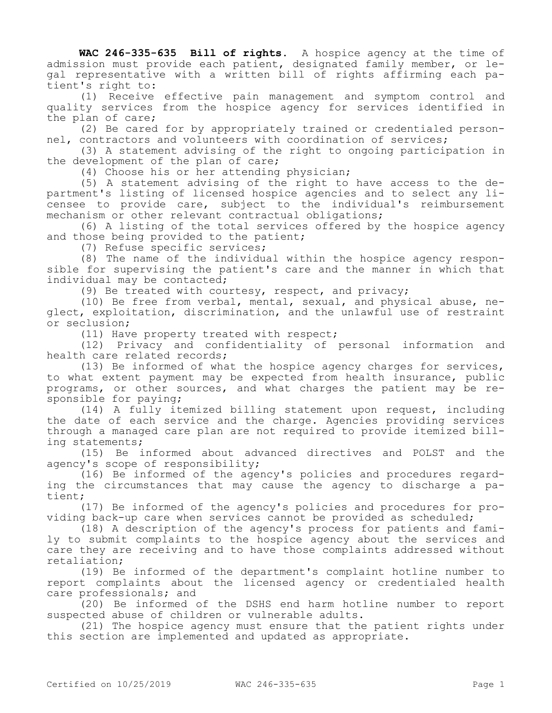**WAC 246-335-635 Bill of rights.** A hospice agency at the time of admission must provide each patient, designated family member, or legal representative with a written bill of rights affirming each patient's right to:

(1) Receive effective pain management and symptom control and quality services from the hospice agency for services identified in the plan of care;

(2) Be cared for by appropriately trained or credentialed personnel, contractors and volunteers with coordination of services;

(3) A statement advising of the right to ongoing participation in the development of the plan of care;

(4) Choose his or her attending physician;

(5) A statement advising of the right to have access to the department's listing of licensed hospice agencies and to select any licensee to provide care, subject to the individual's reimbursement mechanism or other relevant contractual obligations;

(6) A listing of the total services offered by the hospice agency and those being provided to the patient;

(7) Refuse specific services;

(8) The name of the individual within the hospice agency responsible for supervising the patient's care and the manner in which that individual may be contacted;

(9) Be treated with courtesy, respect, and privacy;

(10) Be free from verbal, mental, sexual, and physical abuse, neglect, exploitation, discrimination, and the unlawful use of restraint or seclusion;

(11) Have property treated with respect;

(12) Privacy and confidentiality of personal information and health care related records;

(13) Be informed of what the hospice agency charges for services, to what extent payment may be expected from health insurance, public programs, or other sources, and what charges the patient may be responsible for paying;

(14) A fully itemized billing statement upon request, including the date of each service and the charge. Agencies providing services through a managed care plan are not required to provide itemized billing statements;

(15) Be informed about advanced directives and POLST and the agency's scope of responsibility;

(16) Be informed of the agency's policies and procedures regarding the circumstances that may cause the agency to discharge a patient;

(17) Be informed of the agency's policies and procedures for providing back-up care when services cannot be provided as scheduled;

(18) A description of the agency's process for patients and family to submit complaints to the hospice agency about the services and care they are receiving and to have those complaints addressed without retaliation;

(19) Be informed of the department's complaint hotline number to report complaints about the licensed agency or credentialed health care professionals; and

(20) Be informed of the DSHS end harm hotline number to report suspected abuse of children or vulnerable adults.

(21) The hospice agency must ensure that the patient rights under this section are implemented and updated as appropriate.